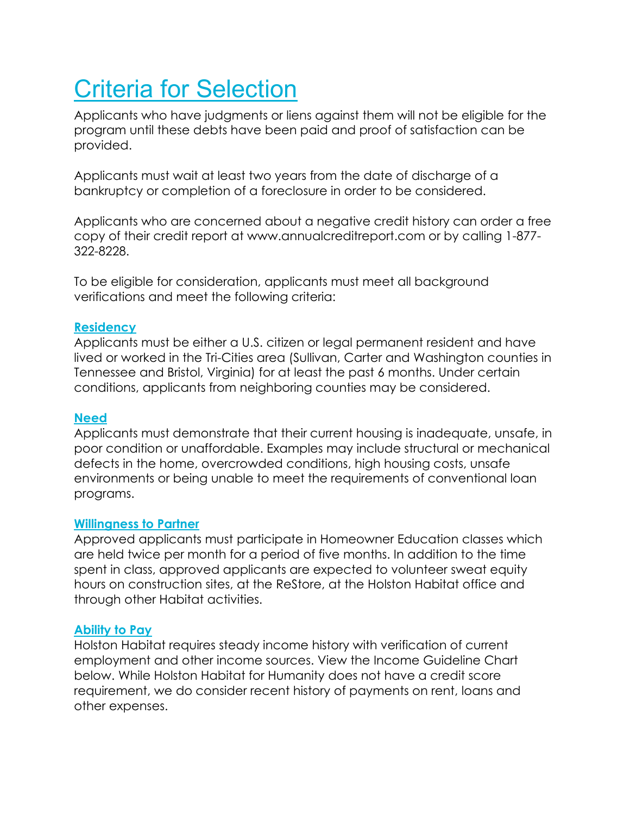# Criteria for Selection

Applicants who have judgments or liens against them will not be eligible for the program until these debts have been paid and proof of satisfaction can be provided.

Applicants must wait at least two years from the date of discharge of a bankruptcy or completion of a foreclosure in order to be considered.

Applicants who are concerned about a negative credit history can order a free copy of their credit report at www.annualcreditreport.com or by calling 1-877- 322-8228.

To be eligible for consideration, applicants must meet all background verifications and meet the following criteria:

#### **Residency**

Applicants must be either a U.S. citizen or legal permanent resident and have lived or worked in the Tri-Cities area (Sullivan, Carter and Washington counties in Tennessee and Bristol, Virginia) for at least the past 6 months. Under certain conditions, applicants from neighboring counties may be considered.

### **Need**

Applicants must demonstrate that their current housing is inadequate, unsafe, in poor condition or unaffordable. Examples may include structural or mechanical defects in the home, overcrowded conditions, high housing costs, unsafe environments or being unable to meet the requirements of conventional loan programs.

### **Willingness to Partner**

Approved applicants must participate in Homeowner Education classes which are held twice per month for a period of five months. In addition to the time spent in class, approved applicants are expected to volunteer sweat equity hours on construction sites, at the ReStore, at the Holston Habitat office and through other Habitat activities.

### **Ability to Pay**

Holston Habitat requires steady income history with verification of current employment and other income sources. View the Income Guideline Chart below. While Holston Habitat for Humanity does not have a credit score requirement, we do consider recent history of payments on rent, loans and other expenses.